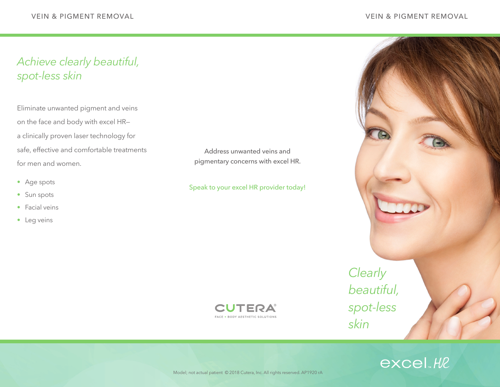# *Achieve clearly beautiful, spot-less skin*

Eliminate unwanted pigment and veins on the face and body with excel HR a clinically proven laser technology for safe, effective and comfortable treatments for men and women.

- Age spots
- Sun spots
- Facial veins
- Leg veins

Address unwanted veins and pigmentary concerns with excel HR.

### Speak to your excel HR provider today!



*Clearly beautiful, spot-less skin*



Model; not actual patient © 2018 Cutera, Inc. All rights reserved. AP1920 rA